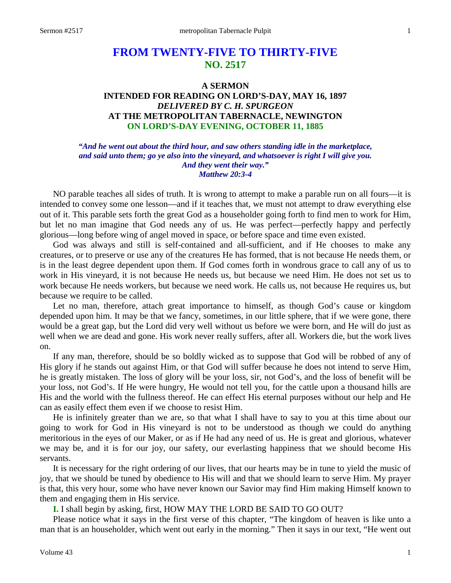# **FROM TWENTY-FIVE TO THIRTY-FIVE NO. 2517**

## **A SERMON INTENDED FOR READING ON LORD'S-DAY, MAY 16, 1897** *DELIVERED BY C. H. SPURGEON* **AT THE METROPOLITAN TABERNACLE, NEWINGTON ON LORD'S-DAY EVENING, OCTOBER 11, 1885**

*"And he went out about the third hour, and saw others standing idle in the marketplace, and said unto them; go ye also into the vineyard, and whatsoever is right I will give you. And they went their way." Matthew 20:3-4*

NO parable teaches all sides of truth. It is wrong to attempt to make a parable run on all fours—it is intended to convey some one lesson—and if it teaches that, we must not attempt to draw everything else out of it. This parable sets forth the great God as a householder going forth to find men to work for Him, but let no man imagine that God needs any of us. He was perfect—perfectly happy and perfectly glorious—long before wing of angel moved in space, or before space and time even existed.

God was always and still is self-contained and all-sufficient, and if He chooses to make any creatures, or to preserve or use any of the creatures He has formed, that is not because He needs them, or is in the least degree dependent upon them. If God comes forth in wondrous grace to call any of us to work in His vineyard, it is not because He needs us, but because we need Him. He does not set us to work because He needs workers, but because we need work. He calls us, not because He requires us, but because we require to be called.

Let no man, therefore, attach great importance to himself, as though God's cause or kingdom depended upon him. It may be that we fancy, sometimes, in our little sphere, that if we were gone, there would be a great gap, but the Lord did very well without us before we were born, and He will do just as well when we are dead and gone. His work never really suffers, after all. Workers die, but the work lives on.

If any man, therefore, should be so boldly wicked as to suppose that God will be robbed of any of His glory if he stands out against Him, or that God will suffer because he does not intend to serve Him, he is greatly mistaken. The loss of glory will be your loss, sir, not God's, and the loss of benefit will be your loss, not God's. If He were hungry, He would not tell you, for the cattle upon a thousand hills are His and the world with the fullness thereof. He can effect His eternal purposes without our help and He can as easily effect them even if we choose to resist Him.

He is infinitely greater than we are, so that what I shall have to say to you at this time about our going to work for God in His vineyard is not to be understood as though we could do anything meritorious in the eyes of our Maker, or as if He had any need of us. He is great and glorious, whatever we may be, and it is for our joy, our safety, our everlasting happiness that we should become His servants.

It is necessary for the right ordering of our lives, that our hearts may be in tune to yield the music of joy, that we should be tuned by obedience to His will and that we should learn to serve Him. My prayer is that, this very hour, some who have never known our Savior may find Him making Himself known to them and engaging them in His service.

**I.** I shall begin by asking, first, HOW MAY THE LORD BE SAID TO GO OUT?

Please notice what it says in the first verse of this chapter, "The kingdom of heaven is like unto a man that is an householder, which went out early in the morning." Then it says in our text, "He went out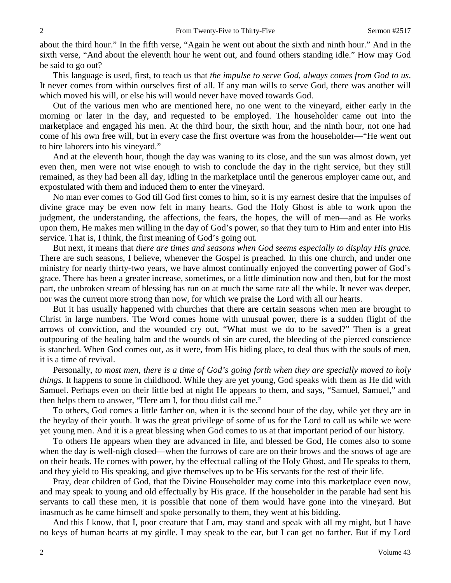about the third hour." In the fifth verse, "Again he went out about the sixth and ninth hour." And in the sixth verse, "And about the eleventh hour he went out, and found others standing idle." How may God be said to go out?

This language is used, first, to teach us that *the impulse to serve God, always comes from God to us*. It never comes from within ourselves first of all. If any man wills to serve God, there was another will which moved his will, or else his will would never have moved towards God.

Out of the various men who are mentioned here, no one went to the vineyard, either early in the morning or later in the day, and requested to be employed. The householder came out into the marketplace and engaged his men. At the third hour, the sixth hour, and the ninth hour, not one had come of his own free will, but in every case the first overture was from the householder—"He went out to hire laborers into his vineyard."

And at the eleventh hour, though the day was waning to its close, and the sun was almost down, yet even then, men were not wise enough to wish to conclude the day in the right service, but they still remained, as they had been all day, idling in the marketplace until the generous employer came out, and expostulated with them and induced them to enter the vineyard.

No man ever comes to God till God first comes to him, so it is my earnest desire that the impulses of divine grace may be even now felt in many hearts. God the Holy Ghost is able to work upon the judgment, the understanding, the affections, the fears, the hopes, the will of men—and as He works upon them, He makes men willing in the day of God's power, so that they turn to Him and enter into His service. That is, I think, the first meaning of God's going out.

But next, it means that *there are times and seasons when God seems especially to display His grace.*  There are such seasons, I believe, whenever the Gospel is preached. In this one church, and under one ministry for nearly thirty-two years, we have almost continually enjoyed the converting power of God's grace. There has been a greater increase, sometimes, or a little diminution now and then, but for the most part, the unbroken stream of blessing has run on at much the same rate all the while. It never was deeper, nor was the current more strong than now, for which we praise the Lord with all our hearts.

But it has usually happened with churches that there are certain seasons when men are brought to Christ in large numbers. The Word comes home with unusual power, there is a sudden flight of the arrows of conviction, and the wounded cry out, "What must we do to be saved?" Then is a great outpouring of the healing balm and the wounds of sin are cured, the bleeding of the pierced conscience is stanched. When God comes out, as it were, from His hiding place, to deal thus with the souls of men, it is a time of revival.

Personally, *to most men, there is a time of God's going forth when they are specially moved to holy things.* It happens to some in childhood. While they are yet young, God speaks with them as He did with Samuel. Perhaps even on their little bed at night He appears to them, and says, "Samuel, Samuel," and then helps them to answer, "Here am I, for thou didst call me."

To others, God comes a little farther on, when it is the second hour of the day, while yet they are in the heyday of their youth. It was the great privilege of some of us for the Lord to call us while we were yet young men. And it is a great blessing when God comes to us at that important period of our history.

To others He appears when they are advanced in life, and blessed be God, He comes also to some when the day is well-nigh closed—when the furrows of care are on their brows and the snows of age are on their heads. He comes with power, by the effectual calling of the Holy Ghost, and He speaks to them, and they yield to His speaking, and give themselves up to be His servants for the rest of their life.

Pray, dear children of God, that the Divine Householder may come into this marketplace even now, and may speak to young and old effectually by His grace. If the householder in the parable had sent his servants to call these men, it is possible that none of them would have gone into the vineyard. But inasmuch as he came himself and spoke personally to them, they went at his bidding.

And this I know, that I, poor creature that I am, may stand and speak with all my might, but I have no keys of human hearts at my girdle. I may speak to the ear, but I can get no farther. But if my Lord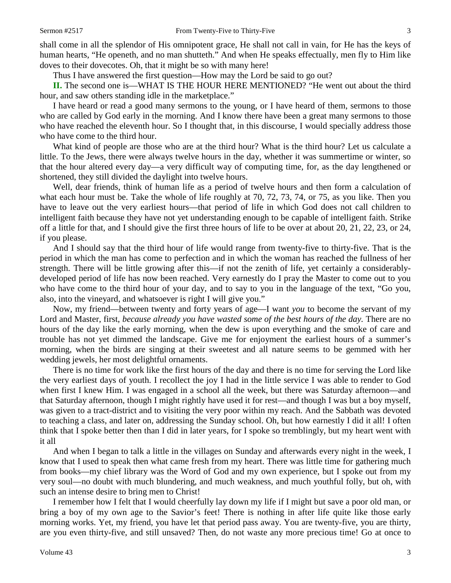shall come in all the splendor of His omnipotent grace, He shall not call in vain, for He has the keys of human hearts, "He openeth, and no man shutteth." And when He speaks effectually, men fly to Him like doves to their dovecotes. Oh, that it might be so with many here!

Thus I have answered the first question—How may the Lord be said to go out?

**II.** The second one is—WHAT IS THE HOUR HERE MENTIONED? "He went out about the third hour, and saw others standing idle in the marketplace."

I have heard or read a good many sermons to the young, or I have heard of them, sermons to those who are called by God early in the morning. And I know there have been a great many sermons to those who have reached the eleventh hour. So I thought that, in this discourse, I would specially address those who have come to the third hour.

What kind of people are those who are at the third hour? What is the third hour? Let us calculate a little. To the Jews, there were always twelve hours in the day, whether it was summertime or winter, so that the hour altered every day—a very difficult way of computing time, for, as the day lengthened or shortened, they still divided the daylight into twelve hours.

Well, dear friends, think of human life as a period of twelve hours and then form a calculation of what each hour must be. Take the whole of life roughly at 70, 72, 73, 74, or 75, as you like. Then you have to leave out the very earliest hours—that period of life in which God does not call children to intelligent faith because they have not yet understanding enough to be capable of intelligent faith. Strike off a little for that, and I should give the first three hours of life to be over at about 20, 21, 22, 23, or 24, if you please.

And I should say that the third hour of life would range from twenty-five to thirty-five. That is the period in which the man has come to perfection and in which the woman has reached the fullness of her strength. There will be little growing after this—if not the zenith of life, yet certainly a considerablydeveloped period of life has now been reached. Very earnestly do I pray the Master to come out to you who have come to the third hour of your day, and to say to you in the language of the text, "Go you, also, into the vineyard, and whatsoever is right I will give you."

Now, my friend—between twenty and forty years of age—I want *you* to become the servant of my Lord and Master, first, *because already you have wasted some of the best hours of the day.* There are no hours of the day like the early morning, when the dew is upon everything and the smoke of care and trouble has not yet dimmed the landscape. Give me for enjoyment the earliest hours of a summer's morning, when the birds are singing at their sweetest and all nature seems to be gemmed with her wedding jewels, her most delightful ornaments.

There is no time for work like the first hours of the day and there is no time for serving the Lord like the very earliest days of youth. I recollect the joy I had in the little service I was able to render to God when first I knew Him. I was engaged in a school all the week, but there was Saturday afternoon—and that Saturday afternoon, though I might rightly have used it for rest—and though I was but a boy myself, was given to a tract-district and to visiting the very poor within my reach. And the Sabbath was devoted to teaching a class, and later on, addressing the Sunday school. Oh, but how earnestly I did it all! I often think that I spoke better then than I did in later years, for I spoke so tremblingly, but my heart went with it all

And when I began to talk a little in the villages on Sunday and afterwards every night in the week, I know that I used to speak then what came fresh from my heart. There was little time for gathering much from books—my chief library was the Word of God and my own experience, but I spoke out from my very soul—no doubt with much blundering, and much weakness, and much youthful folly, but oh, with such an intense desire to bring men to Christ!

I remember how I felt that I would cheerfully lay down my life if I might but save a poor old man, or bring a boy of my own age to the Savior's feet! There is nothing in after life quite like those early morning works. Yet, my friend, you have let that period pass away. You are twenty-five, you are thirty, are you even thirty-five, and still unsaved? Then, do not waste any more precious time! Go at once to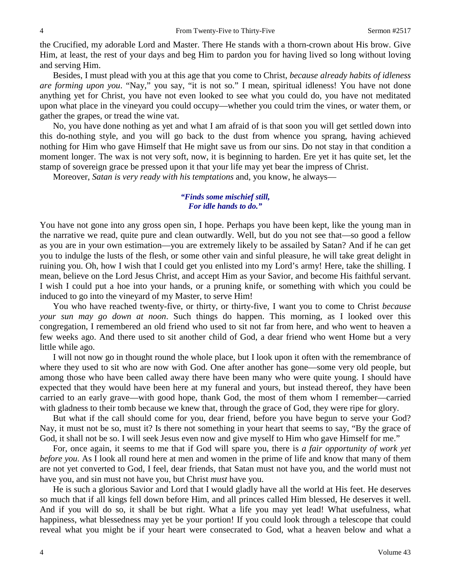the Crucified, my adorable Lord and Master. There He stands with a thorn-crown about His brow. Give Him, at least, the rest of your days and beg Him to pardon you for having lived so long without loving and serving Him.

Besides, I must plead with you at this age that you come to Christ, *because already habits of idleness are forming upon you*. "Nay," you say, "it is not so." I mean, spiritual idleness! You have not done anything yet for Christ, you have not even looked to see what you could do, you have not meditated upon what place in the vineyard you could occupy—whether you could trim the vines, or water them, or gather the grapes, or tread the wine vat.

No, you have done nothing as yet and what I am afraid of is that soon you will get settled down into this do-nothing style, and you will go back to the dust from whence you sprang, having achieved nothing for Him who gave Himself that He might save us from our sins. Do not stay in that condition a moment longer. The wax is not very soft, now, it is beginning to harden. Ere yet it has quite set, let the stamp of sovereign grace be pressed upon it that your life may yet bear the impress of Christ.

Moreover, *Satan is very ready with his temptations* and, you know, he always—

#### *"Finds some mischief still, For idle hands to do."*

You have not gone into any gross open sin, I hope. Perhaps you have been kept, like the young man in the narrative we read, quite pure and clean outwardly. Well, but do you not see that—so good a fellow as you are in your own estimation—you are extremely likely to be assailed by Satan? And if he can get you to indulge the lusts of the flesh, or some other vain and sinful pleasure, he will take great delight in ruining you. Oh, how I wish that I could get you enlisted into my Lord's army! Here, take the shilling. I mean, believe on the Lord Jesus Christ, and accept Him as your Savior, and become His faithful servant. I wish I could put a hoe into your hands, or a pruning knife, or something with which you could be induced to go into the vineyard of my Master, to serve Him!

You who have reached twenty-five, or thirty, or thirty-five, I want you to come to Christ *because your sun may go down at noon*. Such things do happen. This morning, as I looked over this congregation, I remembered an old friend who used to sit not far from here, and who went to heaven a few weeks ago. And there used to sit another child of God, a dear friend who went Home but a very little while ago.

I will not now go in thought round the whole place, but I look upon it often with the remembrance of where they used to sit who are now with God. One after another has gone—some very old people, but among those who have been called away there have been many who were quite young. I should have expected that they would have been here at my funeral and yours, but instead thereof, they have been carried to an early grave—with good hope, thank God, the most of them whom I remember—carried with gladness to their tomb because we knew that, through the grace of God, they were ripe for glory.

But what if the call should come for you, dear friend, before you have begun to serve your God? Nay, it must not be so, must it? Is there not something in your heart that seems to say, "By the grace of God, it shall not be so. I will seek Jesus even now and give myself to Him who gave Himself for me."

For, once again, it seems to me that if God will spare you, there is *a fair opportunity of work yet before you.* As I look all round here at men and women in the prime of life and know that many of them are not yet converted to God, I feel, dear friends, that Satan must not have you, and the world must not have you, and sin must not have you, but Christ *must* have you.

He is such a glorious Savior and Lord that I would gladly have all the world at His feet. He deserves so much that if all kings fell down before Him, and all princes called Him blessed, He deserves it well. And if you will do so, it shall be but right. What a life you may yet lead! What usefulness, what happiness, what blessedness may yet be your portion! If you could look through a telescope that could reveal what you might be if your heart were consecrated to God, what a heaven below and what a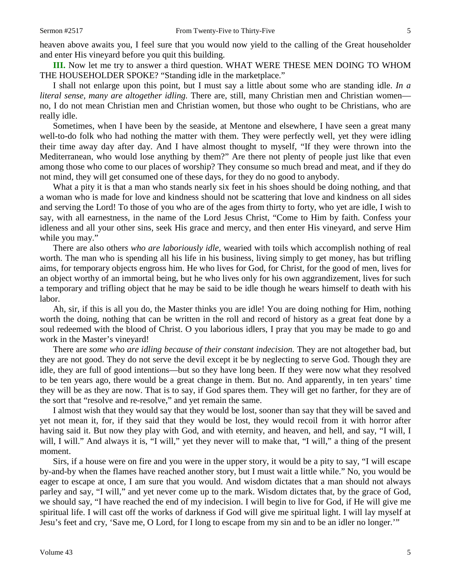heaven above awaits you, I feel sure that you would now yield to the calling of the Great householder and enter His vineyard before you quit this building.

**III.** Now let me try to answer a third question. WHAT WERE THESE MEN DOING TO WHOM THE HOUSEHOLDER SPOKE? "Standing idle in the marketplace."

I shall not enlarge upon this point, but I must say a little about some who are standing idle. *In a literal sense, many are altogether idling.* There are, still, many Christian men and Christian women no, I do not mean Christian men and Christian women, but those who ought to be Christians, who are really idle.

Sometimes, when I have been by the seaside, at Mentone and elsewhere, I have seen a great many well-to-do folk who had nothing the matter with them. They were perfectly well, yet they were idling their time away day after day. And I have almost thought to myself, "If they were thrown into the Mediterranean, who would lose anything by them?" Are there not plenty of people just like that even among those who come to our places of worship? They consume so much bread and meat, and if they do not mind, they will get consumed one of these days, for they do no good to anybody.

What a pity it is that a man who stands nearly six feet in his shoes should be doing nothing, and that a woman who is made for love and kindness should not be scattering that love and kindness on all sides and serving the Lord! To those of you who are of the ages from thirty to forty, who yet are idle, I wish to say, with all earnestness, in the name of the Lord Jesus Christ, "Come to Him by faith. Confess your idleness and all your other sins, seek His grace and mercy, and then enter His vineyard, and serve Him while you may."

There are also other*s who are laboriously idle,* wearied with toils which accomplish nothing of real worth. The man who is spending all his life in his business, living simply to get money, has but trifling aims, for temporary objects engross him. He who lives for God, for Christ, for the good of men, lives for an object worthy of an immortal being, but he who lives only for his own aggrandizement, lives for such a temporary and trifling object that he may be said to be idle though he wears himself to death with his labor.

Ah, sir, if this is all you do, the Master thinks you are idle! You are doing nothing for Him, nothing worth the doing, nothing that can be written in the roll and record of history as a great feat done by a soul redeemed with the blood of Christ. O you laborious idlers, I pray that you may be made to go and work in the Master's vineyard!

There are *some who are idling because of their constant indecision.* They are not altogether bad, but they are not good. They do not serve the devil except it be by neglecting to serve God. Though they are idle, they are full of good intentions—but so they have long been. If they were now what they resolved to be ten years ago, there would be a great change in them. But no. And apparently, in ten years' time they will be as they are now. That is to say, if God spares them. They will get no farther, for they are of the sort that "resolve and re-resolve," and yet remain the same.

I almost wish that they would say that they would be lost, sooner than say that they will be saved and yet not mean it, for, if they said that they would be lost, they would recoil from it with horror after having said it. But now they play with God, and with eternity, and heaven, and hell, and say, "I will, I will, I will." And always it is, "I will," yet they never will to make that, "I will," a thing of the present moment.

Sirs, if a house were on fire and you were in the upper story, it would be a pity to say, "I will escape by-and-by when the flames have reached another story, but I must wait a little while." No, you would be eager to escape at once, I am sure that you would. And wisdom dictates that a man should not always parley and say, "I will," and yet never come up to the mark. Wisdom dictates that, by the grace of God, we should say, "I have reached the end of my indecision. I will begin to live for God, if He will give me spiritual life. I will cast off the works of darkness if God will give me spiritual light. I will lay myself at Jesu's feet and cry, 'Save me, O Lord, for I long to escape from my sin and to be an idler no longer.'"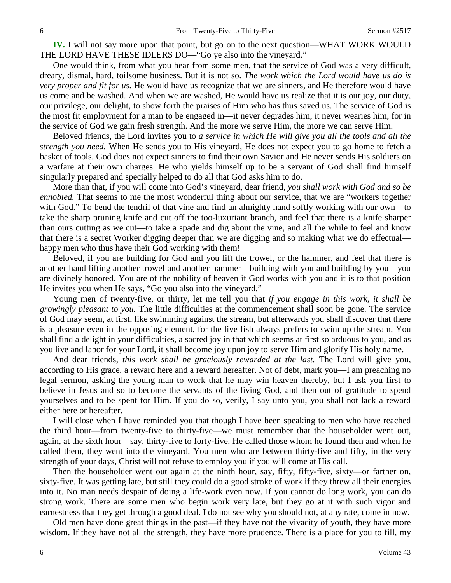**IV.** I will not say more upon that point, but go on to the next question—WHAT WORK WOULD THE LORD HAVE THESE IDLERS DO—"Go ye also into the vineyard."

One would think, from what you hear from some men, that the service of God was a very difficult, dreary, dismal, hard, toilsome business. But it is not so. *The work which the Lord would have us do is very proper and fit for us.* He would have us recognize that we are sinners, and He therefore would have us come and be washed. And when we are washed, He would have us realize that it is our joy, our duty, our privilege, our delight, to show forth the praises of Him who has thus saved us. The service of God is the most fit employment for a man to be engaged in—it never degrades him, it never wearies him, for in the service of God we gain fresh strength. And the more we serve Him, the more we can serve Him.

Beloved friends, the Lord invites you to *a service in which He will give you all the tools and all the strength you need.* When He sends you to His vineyard, He does not expect you to go home to fetch a basket of tools. God does not expect sinners to find their own Savior and He never sends His soldiers on a warfare at their own charges. He who yields himself up to be a servant of God shall find himself singularly prepared and specially helped to do all that God asks him to do.

More than that, if you will come into God's vineyard, dear friend, *you shall work with God and so be ennobled.* That seems to me the most wonderful thing about our service, that we are "workers together with God." To bend the tendril of that vine and find an almighty hand softly working with our own—to take the sharp pruning knife and cut off the too-luxuriant branch, and feel that there is a knife sharper than ours cutting as we cut—to take a spade and dig about the vine, and all the while to feel and know that there is a secret Worker digging deeper than we are digging and so making what we do effectual happy men who thus have their God working with them!

Beloved, if you are building for God and you lift the trowel, or the hammer, and feel that there is another hand lifting another trowel and another hammer—building with you and building by you—you are divinely honored. You are of the nobility of heaven if God works with you and it is to that position He invites you when He says, "Go you also into the vineyard."

Young men of twenty-five, or thirty, let me tell you that *if you engage in this work, it shall be growingly pleasant to you.* The little difficulties at the commencement shall soon be gone. The service of God may seem, at first, like swimming against the stream, but afterwards you shall discover that there is a pleasure even in the opposing element, for the live fish always prefers to swim up the stream. You shall find a delight in your difficulties, a sacred joy in that which seems at first so arduous to you, and as you live and labor for your Lord, it shall become joy upon joy to serve Him and glorify His holy name.

And dear friends, *this work shall be graciously rewarded at the last.* The Lord will give you, according to His grace, a reward here and a reward hereafter. Not of debt, mark you—I am preaching no legal sermon, asking the young man to work that he may win heaven thereby, but I ask you first to believe in Jesus and so to become the servants of the living God, and then out of gratitude to spend yourselves and to be spent for Him. If you do so, verily, I say unto you, you shall not lack a reward either here or hereafter.

I will close when I have reminded you that though I have been speaking to men who have reached the third hour—from twenty-five to thirty-five—we must remember that the householder went out, again, at the sixth hour—say, thirty-five to forty-five. He called those whom he found then and when he called them, they went into the vineyard. You men who are between thirty-five and fifty, in the very strength of your days, Christ will not refuse to employ you if you will come at His call.

Then the householder went out again at the ninth hour, say, fifty, fifty-five, sixty—or farther on, sixty-five. It was getting late, but still they could do a good stroke of work if they threw all their energies into it. No man needs despair of doing a life-work even now. If you cannot do long work, you can do strong work. There are some men who begin work very late, but they go at it with such vigor and earnestness that they get through a good deal. I do not see why you should not, at any rate, come in now.

Old men have done great things in the past—if they have not the vivacity of youth, they have more wisdom. If they have not all the strength, they have more prudence. There is a place for you to fill, my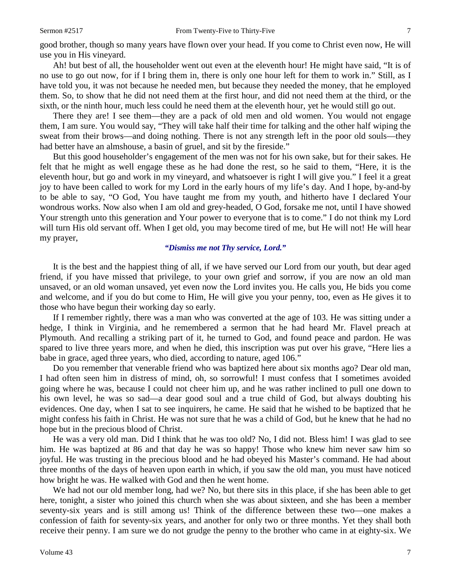good brother, though so many years have flown over your head. If you come to Christ even now, He will use you in His vineyard.

Ah! but best of all, the householder went out even at the eleventh hour! He might have said, "It is of no use to go out now, for if I bring them in, there is only one hour left for them to work in." Still, as I have told you, it was not because he needed men, but because they needed the money, that he employed them. So, to show that he did not need them at the first hour, and did not need them at the third, or the sixth, or the ninth hour, much less could he need them at the eleventh hour, yet he would still go out.

There they are! I see them—they are a pack of old men and old women. You would not engage them, I am sure. You would say, "They will take half their time for talking and the other half wiping the sweat from their brows—and doing nothing. There is not any strength left in the poor old souls—they had better have an almshouse, a basin of gruel, and sit by the fireside."

But this good householder's engagement of the men was not for his own sake, but for their sakes*.* He felt that he might as well engage these as he had done the rest, so he said to them, "Here, it is the eleventh hour, but go and work in my vineyard, and whatsoever is right I will give you." I feel it a great joy to have been called to work for my Lord in the early hours of my life's day. And I hope, by-and-by to be able to say, "O God, You have taught me from my youth, and hitherto have I declared Your wondrous works. Now also when I am old and grey-headed, O God, forsake me not, until I have showed Your strength unto this generation and Your power to everyone that is to come." I do not think my Lord will turn His old servant off. When I get old, you may become tired of me, but He will not! He will hear my prayer,

#### *"Dismiss me not Thy service, Lord."*

It is the best and the happiest thing of all, if we have served our Lord from our youth, but dear aged friend, if you have missed that privilege, to your own grief and sorrow, if you are now an old man unsaved, or an old woman unsaved, yet even now the Lord invites you. He calls you, He bids you come and welcome, and if you do but come to Him, He will give you your penny, too, even as He gives it to those who have begun their working day so early.

If I remember rightly, there was a man who was converted at the age of 103. He was sitting under a hedge, I think in Virginia, and he remembered a sermon that he had heard Mr. Flavel preach at Plymouth. And recalling a striking part of it, he turned to God, and found peace and pardon. He was spared to live three years more, and when he died, this inscription was put over his grave, "Here lies a babe in grace, aged three years, who died, according to nature, aged 106."

Do you remember that venerable friend who was baptized here about six months ago? Dear old man, I had often seen him in distress of mind, oh, so sorrowful! I must confess that I sometimes avoided going where he was, because I could not cheer him up, and he was rather inclined to pull one down to his own level, he was so sad—a dear good soul and a true child of God, but always doubting his evidences. One day, when I sat to see inquirers, he came. He said that he wished to be baptized that he might confess his faith in Christ. He was not sure that he was a child of God, but he knew that he had no hope but in the precious blood of Christ.

He was a very old man. Did I think that he was too old? No, I did not. Bless him! I was glad to see him. He was baptized at 86 and that day he was so happy! Those who knew him never saw him so joyful. He was trusting in the precious blood and he had obeyed his Master's command. He had about three months of the days of heaven upon earth in which, if you saw the old man, you must have noticed how bright he was. He walked with God and then he went home.

We had not our old member long, had we? No, but there sits in this place, if she has been able to get here, tonight, a sister who joined this church when she was about sixteen, and she has been a member seventy-six years and is still among us! Think of the difference between these two—one makes a confession of faith for seventy-six years, and another for only two or three months. Yet they shall both receive their penny. I am sure we do not grudge the penny to the brother who came in at eighty-six. We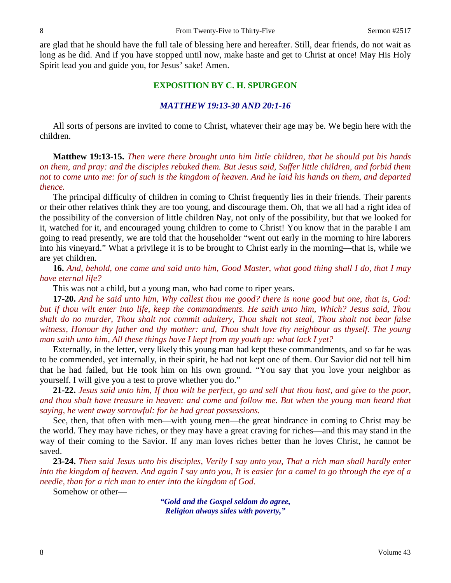are glad that he should have the full tale of blessing here and hereafter. Still, dear friends, do not wait as long as he did. And if you have stopped until now, make haste and get to Christ at once! May His Holy Spirit lead you and guide you, for Jesus' sake! Amen.

## **EXPOSITION BY C. H. SPURGEON**

#### *MATTHEW 19:13-30 AND 20:1-16*

All sorts of persons are invited to come to Christ, whatever their age may be. We begin here with the children.

**Matthew 19:13-15.** *Then were there brought unto him little children, that he should put his hands on them, and pray: and the disciples rebuked them. But Jesus said, Suffer little children, and forbid them not to come unto me: for of such is the kingdom of heaven. And he laid his hands on them, and departed thence.* 

The principal difficulty of children in coming to Christ frequently lies in their friends. Their parents or their other relatives think they are too young, and discourage them. Oh, that we all had a right idea of the possibility of the conversion of little children Nay, not only of the possibility, but that we looked for it, watched for it, and encouraged young children to come to Christ! You know that in the parable I am going to read presently, we are told that the householder "went out early in the morning to hire laborers into his vineyard." What a privilege it is to be brought to Christ early in the morning—that is, while we are yet children.

**16.** *And, behold, one came and said unto him, Good Master, what good thing shall I do, that I may have eternal life?*

This was not a child, but a young man, who had come to riper years.

**17-20.** *And he said unto him, Why callest thou me good? there is none good but one, that is, God: but if thou wilt enter into life, keep the commandments. He saith unto him, Which? Jesus said, Thou shalt do no murder, Thou shalt not commit adultery, Thou shalt not steal, Thou shalt not bear false witness, Honour thy father and thy mother: and, Thou shalt love thy neighbour as thyself. The young man saith unto him, All these things have I kept from my youth up: what lack I yet?*

Externally, in the letter, very likely this young man had kept these commandments, and so far he was to be commended, yet internally, in their spirit, he had not kept one of them. Our Savior did not tell him that he had failed, but He took him on his own ground. "You say that you love your neighbor as yourself. I will give you a test to prove whether you do."

**21-22.** *Jesus said unto him, If thou wilt be perfect, go and sell that thou hast, and give to the poor, and thou shalt have treasure in heaven: and come and follow me. But when the young man heard that saying, he went away sorrowful: for he had great possessions.*

See, then, that often with men—with young men—the great hindrance in coming to Christ may be the world. They may have riches, or they may have a great craving for riches—and this may stand in the way of their coming to the Savior. If any man loves riches better than he loves Christ, he cannot be saved.

**23-24.** *Then said Jesus unto his disciples, Verily I say unto you, That a rich man shall hardly enter into the kingdom of heaven. And again I say unto you, It is easier for a camel to go through the eye of a needle, than for a rich man to enter into the kingdom of God.* 

Somehow or other—

*"Gold and the Gospel seldom do agree, Religion always sides with poverty,"*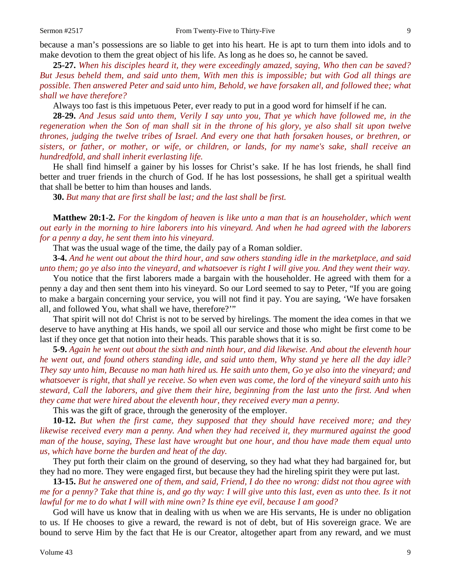because a man's possessions are so liable to get into his heart. He is apt to turn them into idols and to make devotion to them the great object of his life. As long as he does so, he cannot be saved.

**25-27.** *When his disciples heard it, they were exceedingly amazed, saying, Who then can be saved? But Jesus beheld them, and said unto them, With men this is impossible; but with God all things are possible. Then answered Peter and said unto him, Behold, we have forsaken all, and followed thee; what shall we have therefore?*

Always too fast is this impetuous Peter, ever ready to put in a good word for himself if he can.

**28-29.** *And Jesus said unto them, Verily I say unto you, That ye which have followed me, in the regeneration when the Son of man shall sit in the throne of his glory, ye also shall sit upon twelve thrones, judging the twelve tribes of Israel. And every one that hath forsaken houses, or brethren, or sisters, or father, or mother, or wife, or children, or lands, for my name's sake, shall receive an hundredfold, and shall inherit everlasting life.*

He shall find himself a gainer by his losses for Christ's sake. If he has lost friends, he shall find better and truer friends in the church of God. If he has lost possessions, he shall get a spiritual wealth that shall be better to him than houses and lands.

**30.** *But many that are first shall be last; and the last shall be first.*

**Matthew 20:1-2.** *For the kingdom of heaven is like unto a man that is an householder, which went out early in the morning to hire laborers into his vineyard. And when he had agreed with the laborers for a penny a day, he sent them into his vineyard.* 

That was the usual wage of the time, the daily pay of a Roman soldier.

**3-4.** *And he went out about the third hour, and saw others standing idle in the marketplace, and said unto them; go ye also into the vineyard, and whatsoever is right I will give you. And they went their way.*

You notice that the first laborers made a bargain with the householder. He agreed with them for a penny a day and then sent them into his vineyard. So our Lord seemed to say to Peter, "If you are going to make a bargain concerning your service, you will not find it pay. You are saying, 'We have forsaken all, and followed You, what shall we have, therefore?'"

That spirit will not do! Christ is not to be served by hirelings. The moment the idea comes in that we deserve to have anything at His hands, we spoil all our service and those who might be first come to be last if they once get that notion into their heads. This parable shows that it is so.

**5-9.** *Again he went out about the sixth and ninth hour, and did likewise. And about the eleventh hour he went out, and found others standing idle, and said unto them, Why stand ye here all the day idle? They say unto him, Because no man hath hired us. He saith unto them, Go ye also into the vineyard; and whatsoever is right, that shall ye receive. So when even was come, the lord of the vineyard saith unto his steward, Call the laborers, and give them their hire, beginning from the last unto the first. And when they came that were hired about the eleventh hour, they received every man a penny.*

This was the gift of grace, through the generosity of the employer.

**10-12.** *But when the first came, they supposed that they should have received more; and they likewise received every man a penny. And when they had received it, they murmured against the good man of the house, saying, These last have wrought but one hour, and thou have made them equal unto us, which have borne the burden and heat of the day.*

They put forth their claim on the ground of deserving, so they had what they had bargained for, but they had no more. They were engaged first, but because they had the hireling spirit they were put last.

**13-15.** *But he answered one of them, and said, Friend, I do thee no wrong: didst not thou agree with me for a penny? Take that thine is, and go thy way: I will give unto this last, even as unto thee. Is it not lawful for me to do what I will with mine own? Is thine eye evil, because I am good?*

God will have us know that in dealing with us when we are His servants, He is under no obligation to us. If He chooses to give a reward, the reward is not of debt, but of His sovereign grace. We are bound to serve Him by the fact that He is our Creator, altogether apart from any reward, and we must